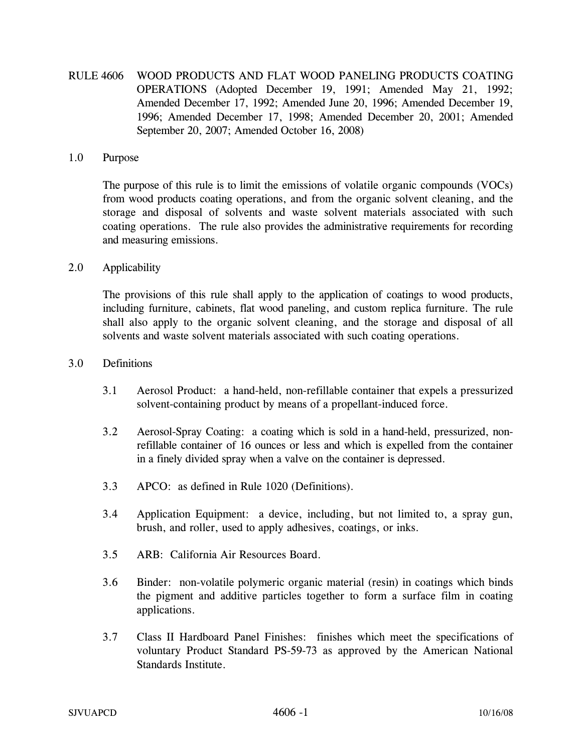RULE 4606 WOOD PRODUCTS AND FLAT WOOD PANELING PRODUCTS COATING OPERATIONS (Adopted December 19, 1991; Amended May 21, 1992; Amended December 17, 1992; Amended June 20, 1996; Amended December 19, 1996; Amended December 17, 1998; Amended December 20, 2001; Amended September 20, 2007; Amended October 16, 2008)

#### 1.0 Purpose

The purpose of this rule is to limit the emissions of volatile organic compounds (VOCs) from wood products coating operations, and from the organic solvent cleaning, and the storage and disposal of solvents and waste solvent materials associated with such coating operations. The rule also provides the administrative requirements for recording and measuring emissions.

## 2.0 Applicability

The provisions of this rule shall apply to the application of coatings to wood products, including furniture, cabinets, flat wood paneling, and custom replica furniture. The rule shall also apply to the organic solvent cleaning, and the storage and disposal of all solvents and waste solvent materials associated with such coating operations.

### 3.0 Definitions

- 3.1 Aerosol Product: a hand-held, non-refillable container that expels a pressurized solvent-containing product by means of a propellant-induced force.
- 3.2 Aerosol-Spray Coating: a coating which is sold in a hand-held, pressurized, nonrefillable container of 16 ounces or less and which is expelled from the container in a finely divided spray when a valve on the container is depressed.
- 3.3 APCO: as defined in Rule 1020 (Definitions).
- 3.4 Application Equipment: a device, including, but not limited to, a spray gun, brush, and roller, used to apply adhesives, coatings, or inks.
- 3.5 ARB: California Air Resources Board.
- 3.6 Binder: non-volatile polymeric organic material (resin) in coatings which binds the pigment and additive particles together to form a surface film in coating applications.
- 3.7 Class II Hardboard Panel Finishes: finishes which meet the specifications of voluntary Product Standard PS-59-73 as approved by the American National Standards Institute.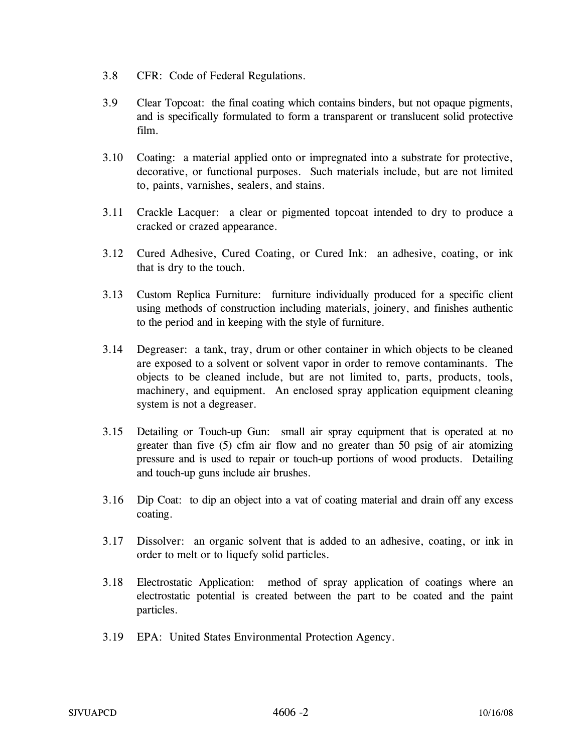- 3.8 CFR: Code of Federal Regulations.
- 3.9 Clear Topcoat: the final coating which contains binders, but not opaque pigments, and is specifically formulated to form a transparent or translucent solid protective film.
- 3.10 Coating: a material applied onto or impregnated into a substrate for protective, decorative, or functional purposes. Such materials include, but are not limited to, paints, varnishes, sealers, and stains.
- 3.11 Crackle Lacquer: a clear or pigmented topcoat intended to dry to produce a cracked or crazed appearance.
- 3.12 Cured Adhesive, Cured Coating, or Cured Ink: an adhesive, coating, or ink that is dry to the touch.
- 3.13 Custom Replica Furniture: furniture individually produced for a specific client using methods of construction including materials, joinery, and finishes authentic to the period and in keeping with the style of furniture.
- 3.14 Degreaser: a tank, tray, drum or other container in which objects to be cleaned are exposed to a solvent or solvent vapor in order to remove contaminants. The objects to be cleaned include, but are not limited to, parts, products, tools, machinery, and equipment. An enclosed spray application equipment cleaning system is not a degreaser.
- 3.15 Detailing or Touch-up Gun: small air spray equipment that is operated at no greater than five (5) cfm air flow and no greater than 50 psig of air atomizing pressure and is used to repair or touch-up portions of wood products. Detailing and touch-up guns include air brushes.
- 3.16 Dip Coat: to dip an object into a vat of coating material and drain off any excess coating.
- 3.17 Dissolver: an organic solvent that is added to an adhesive, coating, or ink in order to melt or to liquefy solid particles.
- 3.18 Electrostatic Application: method of spray application of coatings where an electrostatic potential is created between the part to be coated and the paint particles.
- 3.19 EPA: United States Environmental Protection Agency.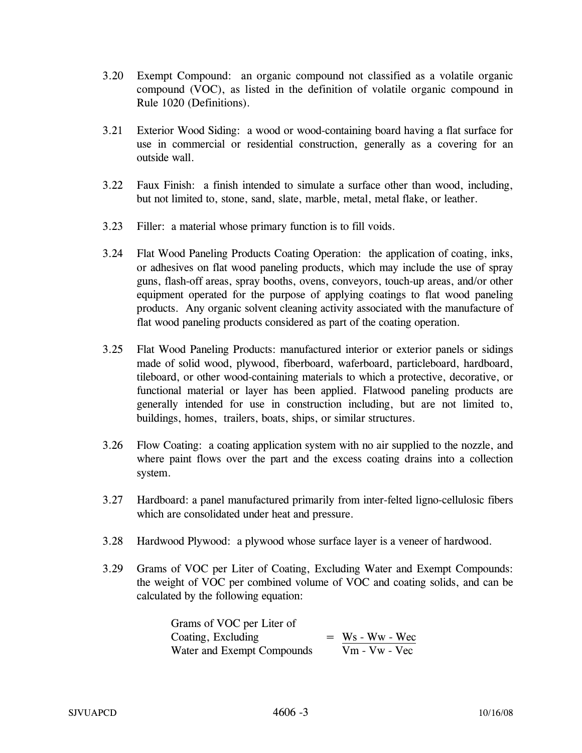- 3.20 Exempt Compound: an organic compound not classified as a volatile organic compound (VOC), as listed in the definition of volatile organic compound in Rule 1020 (Definitions).
- 3.21 Exterior Wood Siding: a wood or wood-containing board having a flat surface for use in commercial or residential construction, generally as a covering for an outside wall.
- 3.22 Faux Finish: a finish intended to simulate a surface other than wood, including, but not limited to, stone, sand, slate, marble, metal, metal flake, or leather.
- 3.23 Filler: a material whose primary function is to fill voids.
- 3.24 Flat Wood Paneling Products Coating Operation: the application of coating, inks, or adhesives on flat wood paneling products, which may include the use of spray guns, flash-off areas, spray booths, ovens, conveyors, touch-up areas, and/or other equipment operated for the purpose of applying coatings to flat wood paneling products. Any organic solvent cleaning activity associated with the manufacture of flat wood paneling products considered as part of the coating operation.
- 3.25 Flat Wood Paneling Products: manufactured interior or exterior panels or sidings made of solid wood, plywood, fiberboard, waferboard, particleboard, hardboard, tileboard, or other wood-containing materials to which a protective, decorative, or functional material or layer has been applied. Flatwood paneling products are generally intended for use in construction including, but are not limited to, buildings, homes, trailers, boats, ships, or similar structures.
- 3.26 Flow Coating: a coating application system with no air supplied to the nozzle, and where paint flows over the part and the excess coating drains into a collection system.
- 3.27 Hardboard: a panel manufactured primarily from inter-felted ligno-cellulosic fibers which are consolidated under heat and pressure.
- 3.28 Hardwood Plywood: a plywood whose surface layer is a veneer of hardwood.
- 3.29 Grams of VOC per Liter of Coating, Excluding Water and Exempt Compounds: the weight of VOC per combined volume of VOC and coating solids, and can be calculated by the following equation:

| Grams of VOC per Liter of  |                   |
|----------------------------|-------------------|
| Coating, Excluding         | $=$ Ws - Ww - Wec |
| Water and Exempt Compounds | $Vm - Vw - Vec$   |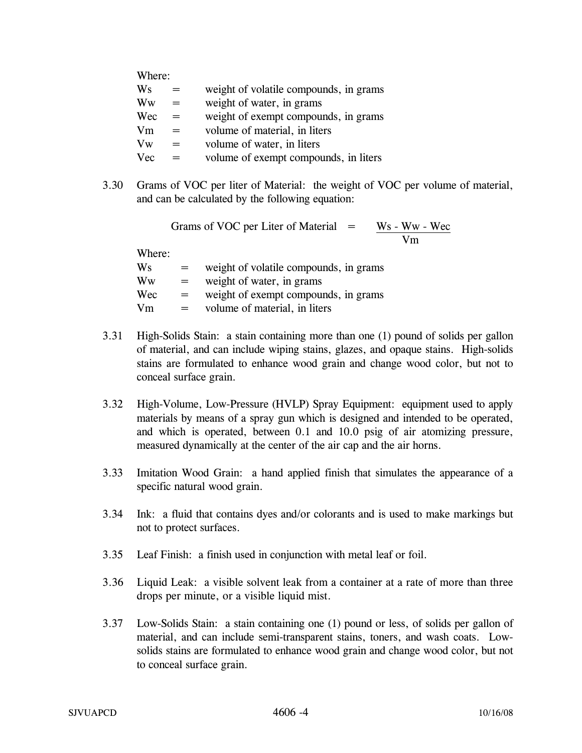| Where:     |     |                                        |
|------------|-----|----------------------------------------|
| Ws         | =   | weight of volatile compounds, in grams |
| Ww         | $=$ | weight of water, in grams              |
| Wec        | $=$ | weight of exempt compounds, in grams   |
| Vm         | $=$ | volume of material, in liters          |
| Vw         | =   | volume of water, in liters             |
| <b>Vec</b> |     | volume of exempt compounds, in liters  |

3.30 Grams of VOC per liter of Material: the weight of VOC per volume of material, and can be calculated by the following equation:

Grams of VOC per Liter of Material  $=$  Ws - Ww - Wec Vm

Where:

| Ws  | $=$ | weight of volatile compounds, in grams |
|-----|-----|----------------------------------------|
| Ww  | $=$ | weight of water, in grams              |
| Wec | $=$ | weight of exempt compounds, in grams   |
| Vm  | $=$ | volume of material, in liters          |

- 3.31 High-Solids Stain: a stain containing more than one (1) pound of solids per gallon of material, and can include wiping stains, glazes, and opaque stains. High-solids stains are formulated to enhance wood grain and change wood color, but not to conceal surface grain.
- 3.32 High-Volume, Low-Pressure (HVLP) Spray Equipment: equipment used to apply materials by means of a spray gun which is designed and intended to be operated, and which is operated, between 0.1 and 10.0 psig of air atomizing pressure, measured dynamically at the center of the air cap and the air horns.
- 3.33 Imitation Wood Grain: a hand applied finish that simulates the appearance of a specific natural wood grain.
- 3.34 Ink: a fluid that contains dyes and/or colorants and is used to make markings but not to protect surfaces.
- 3.35 Leaf Finish: a finish used in conjunction with metal leaf or foil.
- 3.36 Liquid Leak: a visible solvent leak from a container at a rate of more than three drops per minute, or a visible liquid mist.
- 3.37 Low-Solids Stain: a stain containing one (1) pound or less, of solids per gallon of material, and can include semi-transparent stains, toners, and wash coats. Lowsolids stains are formulated to enhance wood grain and change wood color, but not to conceal surface grain.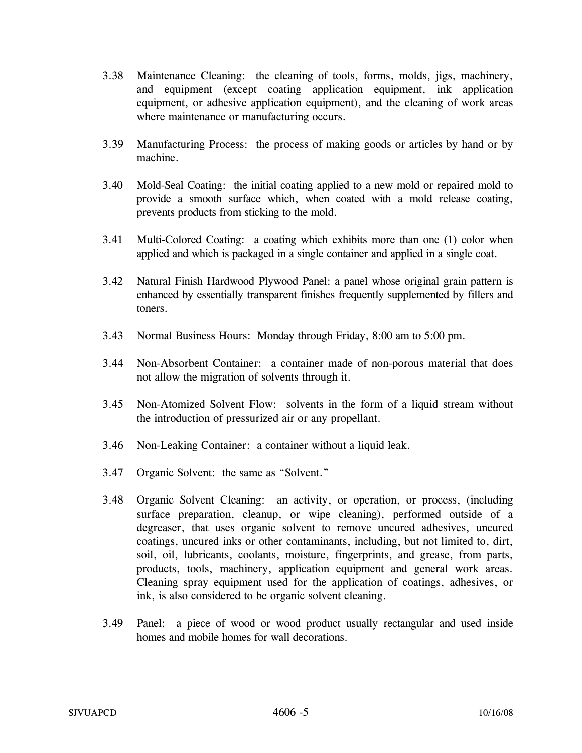- 3.38 Maintenance Cleaning: the cleaning of tools, forms, molds, jigs, machinery, and equipment (except coating application equipment, ink application equipment, or adhesive application equipment), and the cleaning of work areas where maintenance or manufacturing occurs.
- 3.39 Manufacturing Process: the process of making goods or articles by hand or by machine.
- 3.40 Mold-Seal Coating: the initial coating applied to a new mold or repaired mold to provide a smooth surface which, when coated with a mold release coating, prevents products from sticking to the mold.
- 3.41 Multi-Colored Coating: a coating which exhibits more than one (1) color when applied and which is packaged in a single container and applied in a single coat.
- 3.42 Natural Finish Hardwood Plywood Panel: a panel whose original grain pattern is enhanced by essentially transparent finishes frequently supplemented by fillers and toners.
- 3.43 Normal Business Hours: Monday through Friday, 8:00 am to 5:00 pm.
- 3.44 Non-Absorbent Container: a container made of non-porous material that does not allow the migration of solvents through it.
- 3.45 Non-Atomized Solvent Flow: solvents in the form of a liquid stream without the introduction of pressurized air or any propellant.
- 3.46 Non-Leaking Container: a container without a liquid leak.
- 3.47 Organic Solvent: the same as "Solvent."
- 3.48 Organic Solvent Cleaning: an activity, or operation, or process, (including surface preparation, cleanup, or wipe cleaning), performed outside of a degreaser, that uses organic solvent to remove uncured adhesives, uncured coatings, uncured inks or other contaminants, including, but not limited to, dirt, soil, oil, lubricants, coolants, moisture, fingerprints, and grease, from parts, products, tools, machinery, application equipment and general work areas. Cleaning spray equipment used for the application of coatings, adhesives, or ink, is also considered to be organic solvent cleaning.
- 3.49 Panel: a piece of wood or wood product usually rectangular and used inside homes and mobile homes for wall decorations.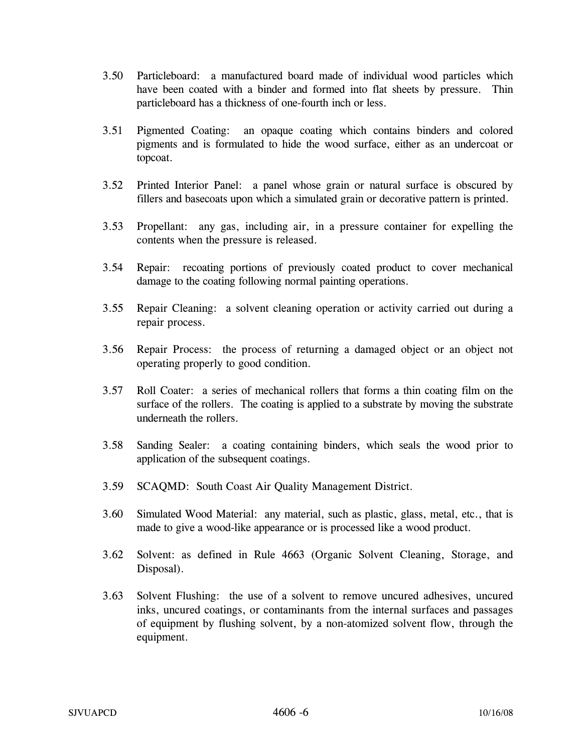- 3.50 Particleboard: a manufactured board made of individual wood particles which have been coated with a binder and formed into flat sheets by pressure. Thin particleboard has a thickness of one-fourth inch or less.
- 3.51 Pigmented Coating: an opaque coating which contains binders and colored pigments and is formulated to hide the wood surface, either as an undercoat or topcoat.
- 3.52 Printed Interior Panel: a panel whose grain or natural surface is obscured by fillers and basecoats upon which a simulated grain or decorative pattern is printed.
- 3.53 Propellant: any gas, including air, in a pressure container for expelling the contents when the pressure is released.
- 3.54 Repair: recoating portions of previously coated product to cover mechanical damage to the coating following normal painting operations.
- 3.55 Repair Cleaning: a solvent cleaning operation or activity carried out during a repair process.
- 3.56 Repair Process: the process of returning a damaged object or an object not operating properly to good condition.
- 3.57 Roll Coater: a series of mechanical rollers that forms a thin coating film on the surface of the rollers. The coating is applied to a substrate by moving the substrate underneath the rollers.
- 3.58 Sanding Sealer: a coating containing binders, which seals the wood prior to application of the subsequent coatings.
- 3.59 SCAQMD: South Coast Air Quality Management District.
- 3.60 Simulated Wood Material: any material, such as plastic, glass, metal, etc., that is made to give a wood-like appearance or is processed like a wood product.
- 3.62 Solvent: as defined in Rule 4663 (Organic Solvent Cleaning, Storage, and Disposal).
- 3.63 Solvent Flushing: the use of a solvent to remove uncured adhesives, uncured inks, uncured coatings, or contaminants from the internal surfaces and passages of equipment by flushing solvent, by a non-atomized solvent flow, through the equipment.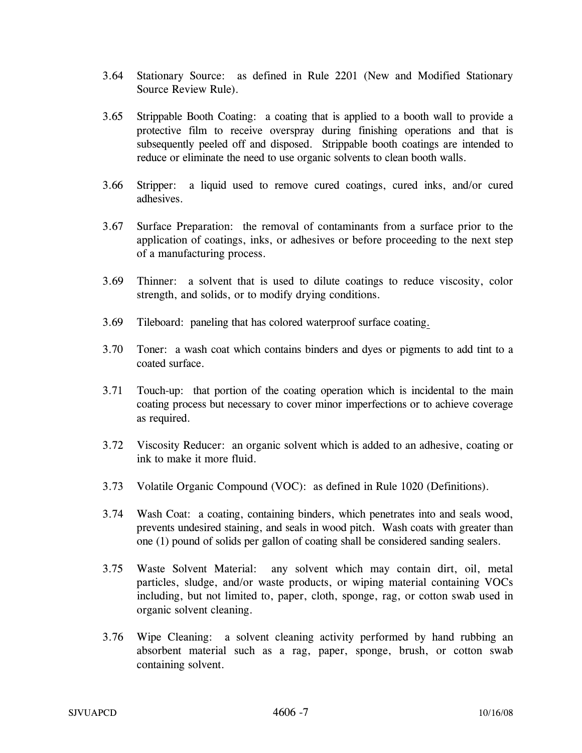- 3.64 Stationary Source: as defined in Rule 2201 (New and Modified Stationary Source Review Rule).
- 3.65 Strippable Booth Coating: a coating that is applied to a booth wall to provide a protective film to receive overspray during finishing operations and that is subsequently peeled off and disposed. Strippable booth coatings are intended to reduce or eliminate the need to use organic solvents to clean booth walls.
- 3.66 Stripper: a liquid used to remove cured coatings, cured inks, and/or cured adhesives.
- 3.67 Surface Preparation: the removal of contaminants from a surface prior to the application of coatings, inks, or adhesives or before proceeding to the next step of a manufacturing process.
- 3.69 Thinner: a solvent that is used to dilute coatings to reduce viscosity, color strength, and solids, or to modify drying conditions.
- 3.69 Tileboard: paneling that has colored waterproof surface coating.
- 3.70 Toner: a wash coat which contains binders and dyes or pigments to add tint to a coated surface.
- 3.71 Touch-up: that portion of the coating operation which is incidental to the main coating process but necessary to cover minor imperfections or to achieve coverage as required.
- 3.72 Viscosity Reducer: an organic solvent which is added to an adhesive, coating or ink to make it more fluid.
- 3.73 Volatile Organic Compound (VOC): as defined in Rule 1020 (Definitions).
- 3.74 Wash Coat: a coating, containing binders, which penetrates into and seals wood, prevents undesired staining, and seals in wood pitch. Wash coats with greater than one (1) pound of solids per gallon of coating shall be considered sanding sealers.
- 3.75 Waste Solvent Material: any solvent which may contain dirt, oil, metal particles, sludge, and/or waste products, or wiping material containing VOCs including, but not limited to, paper, cloth, sponge, rag, or cotton swab used in organic solvent cleaning.
- 3.76 Wipe Cleaning: a solvent cleaning activity performed by hand rubbing an absorbent material such as a rag, paper, sponge, brush, or cotton swab containing solvent.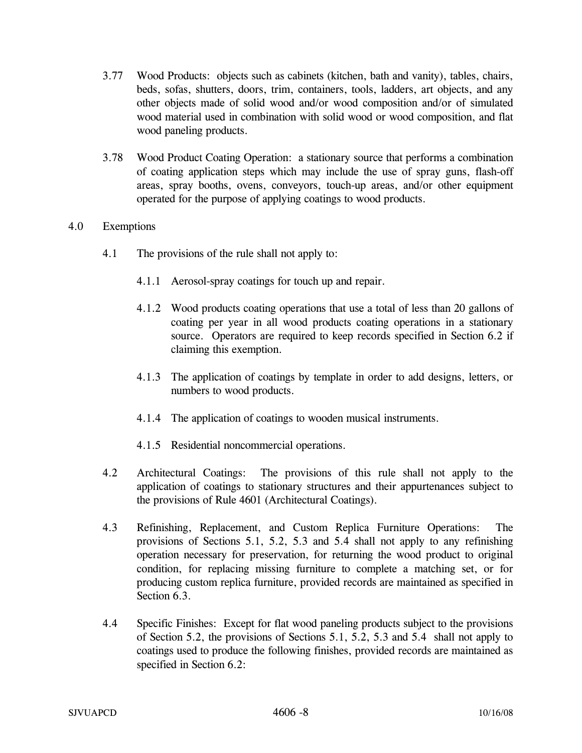- 3.77 Wood Products: objects such as cabinets (kitchen, bath and vanity), tables, chairs, beds, sofas, shutters, doors, trim, containers, tools, ladders, art objects, and any other objects made of solid wood and/or wood composition and/or of simulated wood material used in combination with solid wood or wood composition, and flat wood paneling products.
- 3.78 Wood Product Coating Operation: a stationary source that performs a combination of coating application steps which may include the use of spray guns, flash-off areas, spray booths, ovens, conveyors, touch-up areas, and/or other equipment operated for the purpose of applying coatings to wood products.

## 4.0 Exemptions

- 4.1 The provisions of the rule shall not apply to:
	- 4.1.1 Aerosol-spray coatings for touch up and repair.
	- 4.1.2 Wood products coating operations that use a total of less than 20 gallons of coating per year in all wood products coating operations in a stationary source. Operators are required to keep records specified in Section 6.2 if claiming this exemption.
	- 4.1.3 The application of coatings by template in order to add designs, letters, or numbers to wood products.
	- 4.1.4 The application of coatings to wooden musical instruments.
	- 4.1.5 Residential noncommercial operations.
- 4.2 Architectural Coatings: The provisions of this rule shall not apply to the application of coatings to stationary structures and their appurtenances subject to the provisions of Rule 4601 (Architectural Coatings).
- 4.3 Refinishing, Replacement, and Custom Replica Furniture Operations: The provisions of Sections 5.1, 5.2, 5.3 and 5.4 shall not apply to any refinishing operation necessary for preservation, for returning the wood product to original condition, for replacing missing furniture to complete a matching set, or for producing custom replica furniture, provided records are maintained as specified in Section 6.3.
- 4.4 Specific Finishes: Except for flat wood paneling products subject to the provisions of Section 5.2, the provisions of Sections 5.1, 5.2, 5.3 and 5.4 shall not apply to coatings used to produce the following finishes, provided records are maintained as specified in Section 6.2: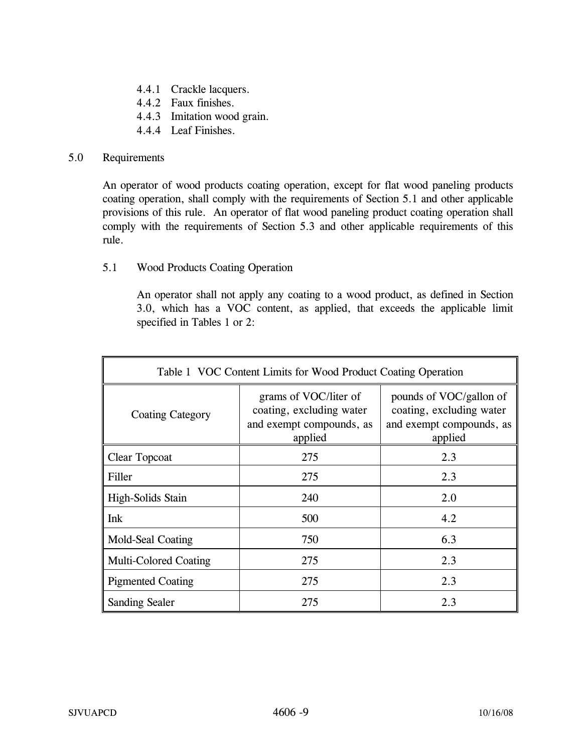- 4.4.1 Crackle lacquers.
- 4.4.2 Faux finishes.
- 4.4.3 Imitation wood grain.
- 4.4.4 Leaf Finishes.

## 5.0 Requirements

 An operator of wood products coating operation, except for flat wood paneling products coating operation, shall comply with the requirements of Section 5.1 and other applicable provisions of this rule. An operator of flat wood paneling product coating operation shall comply with the requirements of Section 5.3 and other applicable requirements of this rule.

5.1 Wood Products Coating Operation

An operator shall not apply any coating to a wood product, as defined in Section 3.0, which has a VOC content, as applied, that exceeds the applicable limit specified in Tables 1 or 2:

| Table 1 VOC Content Limits for Wood Product Coating Operation |                                                                                          |                                                                                            |
|---------------------------------------------------------------|------------------------------------------------------------------------------------------|--------------------------------------------------------------------------------------------|
| <b>Coating Category</b>                                       | grams of VOC/liter of<br>coating, excluding water<br>and exempt compounds, as<br>applied | pounds of VOC/gallon of<br>coating, excluding water<br>and exempt compounds, as<br>applied |
| Clear Topcoat                                                 | 275                                                                                      | 2.3                                                                                        |
| Filler                                                        | 275                                                                                      | 2.3                                                                                        |
| High-Solids Stain                                             | 240                                                                                      | 2.0                                                                                        |
| Ink                                                           | 500                                                                                      | 4.2                                                                                        |
| Mold-Seal Coating                                             | 750                                                                                      | 6.3                                                                                        |
| <b>Multi-Colored Coating</b>                                  | 275                                                                                      | 2.3                                                                                        |
| <b>Pigmented Coating</b>                                      | 275                                                                                      | 2.3                                                                                        |
| <b>Sanding Sealer</b>                                         | 275                                                                                      | 2.3                                                                                        |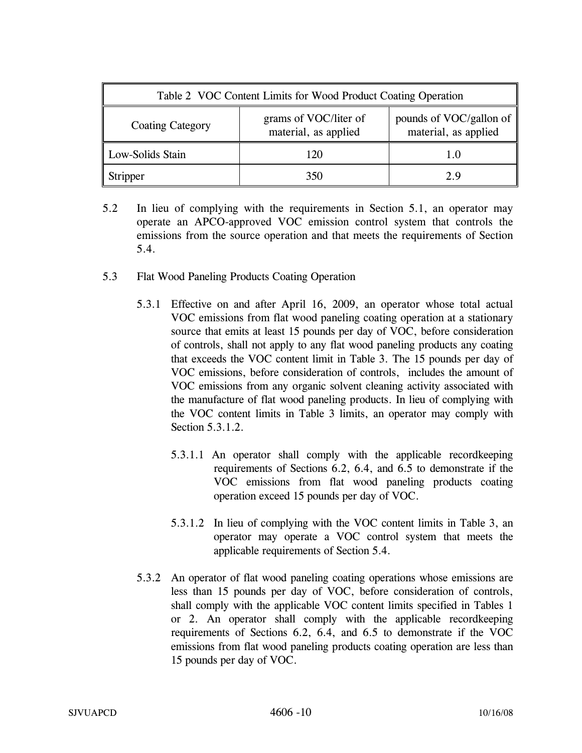| Table 2 VOC Content Limits for Wood Product Coating Operation |                                               |                                                 |
|---------------------------------------------------------------|-----------------------------------------------|-------------------------------------------------|
| <b>Coating Category</b>                                       | grams of VOC/liter of<br>material, as applied | pounds of VOC/gallon of<br>material, as applied |
| Low-Solids Stain                                              | 120                                           | 1.0                                             |
| <b>Stripper</b>                                               | 350                                           | 2.9                                             |

- 5.2 In lieu of complying with the requirements in Section 5.1, an operator may operate an APCO-approved VOC emission control system that controls the emissions from the source operation and that meets the requirements of Section 5.4.
- 5.3 Flat Wood Paneling Products Coating Operation
	- 5.3.1 Effective on and after April 16, 2009, an operator whose total actual VOC emissions from flat wood paneling coating operation at a stationary source that emits at least 15 pounds per day of VOC, before consideration of controls, shall not apply to any flat wood paneling products any coating that exceeds the VOC content limit in Table 3. The 15 pounds per day of VOC emissions, before consideration of controls, includes the amount of VOC emissions from any organic solvent cleaning activity associated with the manufacture of flat wood paneling products. In lieu of complying with the VOC content limits in Table 3 limits, an operator may comply with Section 5.3.1.2.
		- 5.3.1.1 An operator shall comply with the applicable recordkeeping requirements of Sections 6.2, 6.4, and 6.5 to demonstrate if the VOC emissions from flat wood paneling products coating operation exceed 15 pounds per day of VOC.
		- 5.3.1.2 In lieu of complying with the VOC content limits in Table 3, an operator may operate a VOC control system that meets the applicable requirements of Section 5.4.
	- 5.3.2 An operator of flat wood paneling coating operations whose emissions are less than 15 pounds per day of VOC, before consideration of controls, shall comply with the applicable VOC content limits specified in Tables 1 or 2. An operator shall comply with the applicable recordkeeping requirements of Sections 6.2, 6.4, and 6.5 to demonstrate if the VOC emissions from flat wood paneling products coating operation are less than 15 pounds per day of VOC.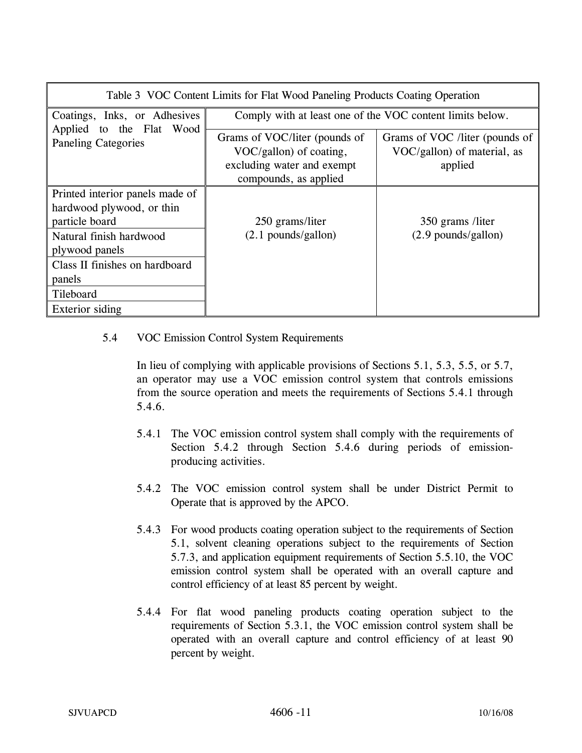| Table 3 VOC Content Limits for Flat Wood Paneling Products Coating Operation |                                                                                                                 |                                                                          |  |
|------------------------------------------------------------------------------|-----------------------------------------------------------------------------------------------------------------|--------------------------------------------------------------------------|--|
| Coatings, Inks, or Adhesives<br>Applied to the Flat<br>Wood                  | Comply with at least one of the VOC content limits below.                                                       |                                                                          |  |
| <b>Paneling Categories</b>                                                   | Grams of VOC/liter (pounds of<br>VOC/gallon) of coating,<br>excluding water and exempt<br>compounds, as applied | Grams of VOC /liter (pounds of<br>VOC/gallon) of material, as<br>applied |  |
| Printed interior panels made of<br>hardwood plywood, or thin                 |                                                                                                                 |                                                                          |  |
| particle board                                                               | 250 grams/liter                                                                                                 | 350 grams /liter                                                         |  |
| Natural finish hardwood<br>plywood panels                                    | $(2.1$ pounds/gallon)                                                                                           | $(2.9$ pounds/gallon)                                                    |  |
| Class II finishes on hardboard                                               |                                                                                                                 |                                                                          |  |
| panels                                                                       |                                                                                                                 |                                                                          |  |
| Tileboard                                                                    |                                                                                                                 |                                                                          |  |
| Exterior siding                                                              |                                                                                                                 |                                                                          |  |

5.4 VOC Emission Control System Requirements

In lieu of complying with applicable provisions of Sections 5.1, 5.3, 5.5, or 5.7, an operator may use a VOC emission control system that controls emissions from the source operation and meets the requirements of Sections 5.4.1 through 5.4.6.

- 5.4.1 The VOC emission control system shall comply with the requirements of Section 5.4.2 through Section 5.4.6 during periods of emissionproducing activities.
- 5.4.2 The VOC emission control system shall be under District Permit to Operate that is approved by the APCO.
- 5.4.3 For wood products coating operation subject to the requirements of Section 5.1, solvent cleaning operations subject to the requirements of Section 5.7.3, and application equipment requirements of Section 5.5.10, the VOC emission control system shall be operated with an overall capture and control efficiency of at least 85 percent by weight.
- 5.4.4 For flat wood paneling products coating operation subject to the requirements of Section 5.3.1, the VOC emission control system shall be operated with an overall capture and control efficiency of at least 90 percent by weight.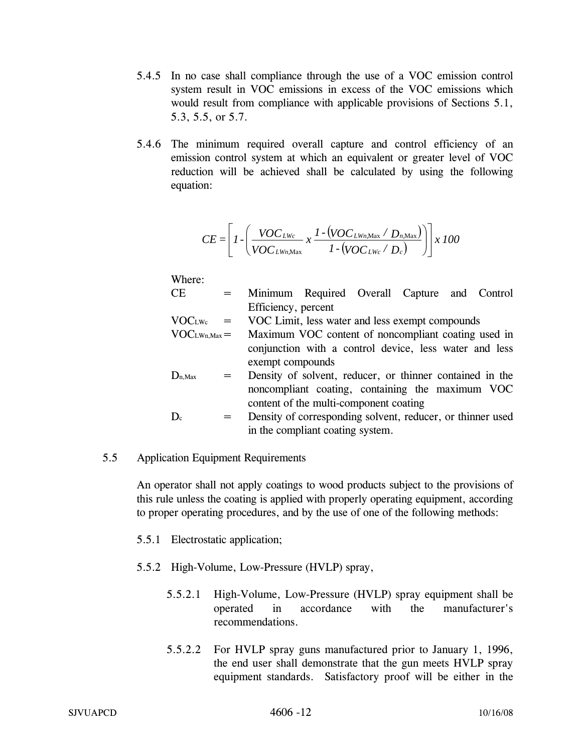- 5.4.5 In no case shall compliance through the use of a VOC emission control system result in VOC emissions in excess of the VOC emissions which would result from compliance with applicable provisions of Sections 5.1, 5.3, 5.5, or 5.7.
- 5.4.6 The minimum required overall capture and control efficiency of an emission control system at which an equivalent or greater level of VOC reduction will be achieved shall be calculated by using the following equation:

$$
CE = \left[1 - \left(\frac{VOC_{LWc}}{VOC_{LWn, \text{Max}}} \times \frac{1 - (VOC_{LWn, \text{Max}} / D_{n, \text{Max}})}{1 - (VOC_{LWc} / D_c)}\right)\right] \times 100
$$

Where:

CE = Minimum Required Overall Capture and Control Efficiency, percent

$$
VOCLWc = VOC Limit, less water and less exempt compounds
$$

- $VOC<sub>LWh,Max</sub> =$  Maximum VOC content of noncompliant coating used in conjunction with a control device, less water and less exempt compounds
- $D_{n,Max}$  = Density of solvent, reducer, or thinner contained in the noncompliant coating, containing the maximum VOC content of the multi-component coating
- $D<sub>c</sub>$  = Density of corresponding solvent, reducer, or thinner used in the compliant coating system.

# 5.5 Application Equipment Requirements

An operator shall not apply coatings to wood products subject to the provisions of this rule unless the coating is applied with properly operating equipment, according to proper operating procedures, and by the use of one of the following methods:

- 5.5.1 Electrostatic application;
- 5.5.2 High-Volume, Low-Pressure (HVLP) spray,
	- 5.5.2.1 High-Volume, Low-Pressure (HVLP) spray equipment shall be operated in accordance with the manufacturer's recommendations.
	- 5.5.2.2 For HVLP spray guns manufactured prior to January 1, 1996, the end user shall demonstrate that the gun meets HVLP spray equipment standards. Satisfactory proof will be either in the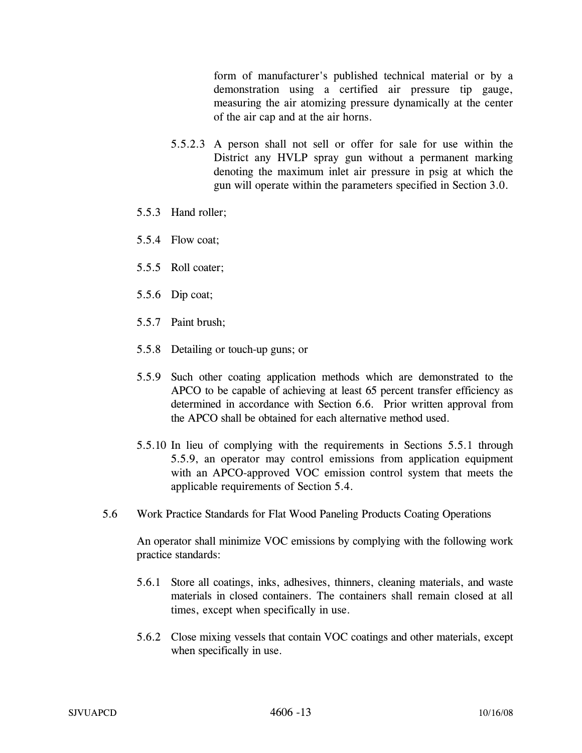form of manufacturer's published technical material or by a demonstration using a certified air pressure tip gauge, measuring the air atomizing pressure dynamically at the center of the air cap and at the air horns.

- 5.5.2.3 A person shall not sell or offer for sale for use within the District any HVLP spray gun without a permanent marking denoting the maximum inlet air pressure in psig at which the gun will operate within the parameters specified in Section 3.0.
- 5.5.3 Hand roller;
- 5.5.4 Flow coat;
- 5.5.5 Roll coater;
- 5.5.6 Dip coat;
- 5.5.7 Paint brush;
- 5.5.8 Detailing or touch-up guns; or
- 5.5.9 Such other coating application methods which are demonstrated to the APCO to be capable of achieving at least 65 percent transfer efficiency as determined in accordance with Section 6.6. Prior written approval from the APCO shall be obtained for each alternative method used.
- 5.5.10 In lieu of complying with the requirements in Sections 5.5.1 through 5.5.9, an operator may control emissions from application equipment with an APCO-approved VOC emission control system that meets the applicable requirements of Section 5.4.
- 5.6 Work Practice Standards for Flat Wood Paneling Products Coating Operations

An operator shall minimize VOC emissions by complying with the following work practice standards:

- 5.6.1 Store all coatings, inks, adhesives, thinners, cleaning materials, and waste materials in closed containers. The containers shall remain closed at all times, except when specifically in use.
- 5.6.2 Close mixing vessels that contain VOC coatings and other materials, except when specifically in use.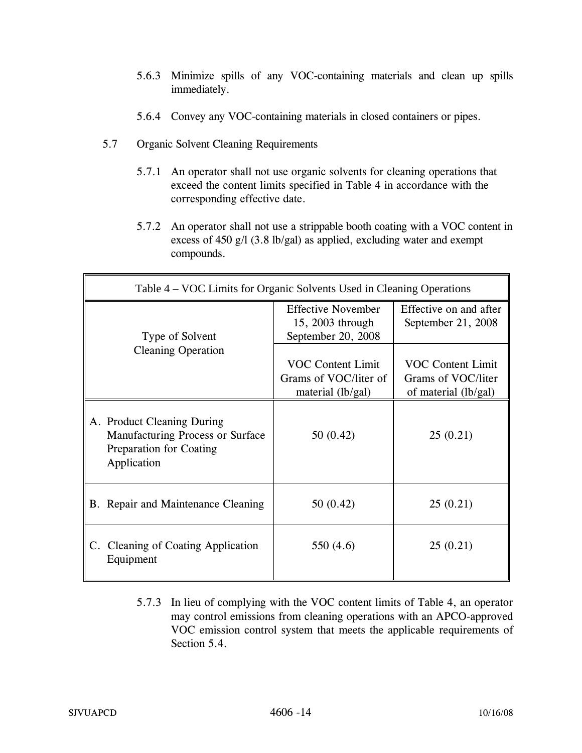- 5.6.3 Minimize spills of any VOC-containing materials and clean up spills immediately.
- 5.6.4 Convey any VOC-containing materials in closed containers or pipes.
- 5.7 Organic Solvent Cleaning Requirements
	- 5.7.1 An operator shall not use organic solvents for cleaning operations that exceed the content limits specified in Table 4 in accordance with the corresponding effective date.
	- 5.7.2 An operator shall not use a strippable booth coating with a VOC content in excess of 450 g/l (3.8 lb/gal) as applied, excluding water and exempt compounds.

| Table 4 – VOC Limits for Organic Solvents Used in Cleaning Operations                                    |                                                                        |                                                                        |
|----------------------------------------------------------------------------------------------------------|------------------------------------------------------------------------|------------------------------------------------------------------------|
| Type of Solvent                                                                                          | <b>Effective November</b><br>15, 2003 through<br>September 20, 2008    | Effective on and after<br>September 21, 2008                           |
| <b>Cleaning Operation</b>                                                                                | <b>VOC Content Limit</b><br>Grams of VOC/liter of<br>material (lb/gal) | <b>VOC Content Limit</b><br>Grams of VOC/liter<br>of material (lb/gal) |
| A. Product Cleaning During<br>Manufacturing Process or Surface<br>Preparation for Coating<br>Application | 50(0.42)                                                               | 25(0.21)                                                               |
| B. Repair and Maintenance Cleaning                                                                       | 50(0.42)                                                               | 25(0.21)                                                               |
| C. Cleaning of Coating Application<br>Equipment                                                          | 550 (4.6)                                                              | 25(0.21)                                                               |

5.7.3 In lieu of complying with the VOC content limits of Table 4, an operator may control emissions from cleaning operations with an APCO-approved VOC emission control system that meets the applicable requirements of Section 5.4.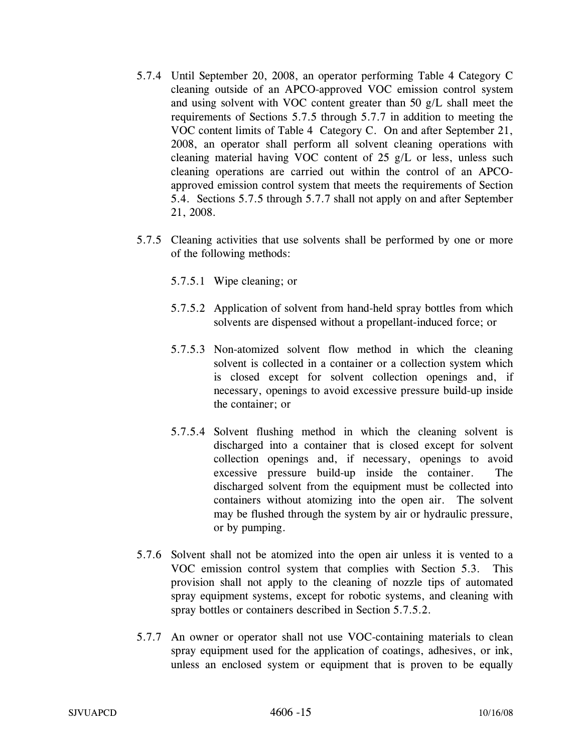- 5.7.4 Until September 20, 2008, an operator performing Table 4 Category C cleaning outside of an APCO-approved VOC emission control system and using solvent with VOC content greater than 50 g/L shall meet the requirements of Sections 5.7.5 through 5.7.7 in addition to meeting the VOC content limits of Table 4 Category C. On and after September 21, 2008, an operator shall perform all solvent cleaning operations with cleaning material having VOC content of 25 g/L or less, unless such cleaning operations are carried out within the control of an APCOapproved emission control system that meets the requirements of Section 5.4. Sections 5.7.5 through 5.7.7 shall not apply on and after September 21, 2008.
- 5.7.5 Cleaning activities that use solvents shall be performed by one or more of the following methods:
	- 5.7.5.1 Wipe cleaning; or
	- 5.7.5.2 Application of solvent from hand-held spray bottles from which solvents are dispensed without a propellant-induced force; or
	- 5.7.5.3 Non-atomized solvent flow method in which the cleaning solvent is collected in a container or a collection system which is closed except for solvent collection openings and, if necessary, openings to avoid excessive pressure build-up inside the container; or
	- 5.7.5.4 Solvent flushing method in which the cleaning solvent is discharged into a container that is closed except for solvent collection openings and, if necessary, openings to avoid excessive pressure build-up inside the container. The discharged solvent from the equipment must be collected into containers without atomizing into the open air. The solvent may be flushed through the system by air or hydraulic pressure, or by pumping.
- 5.7.6 Solvent shall not be atomized into the open air unless it is vented to a VOC emission control system that complies with Section 5.3. This provision shall not apply to the cleaning of nozzle tips of automated spray equipment systems, except for robotic systems, and cleaning with spray bottles or containers described in Section 5.7.5.2.
- 5.7.7 An owner or operator shall not use VOC-containing materials to clean spray equipment used for the application of coatings, adhesives, or ink, unless an enclosed system or equipment that is proven to be equally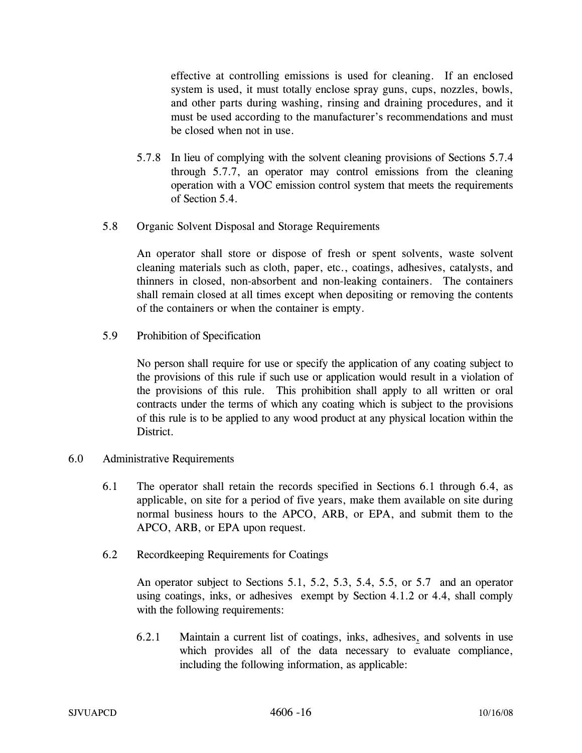effective at controlling emissions is used for cleaning. If an enclosed system is used, it must totally enclose spray guns, cups, nozzles, bowls, and other parts during washing, rinsing and draining procedures, and it must be used according to the manufacturer's recommendations and must be closed when not in use.

- 5.7.8 In lieu of complying with the solvent cleaning provisions of Sections 5.7.4 through 5.7.7, an operator may control emissions from the cleaning operation with a VOC emission control system that meets the requirements of Section 5.4.
- 5.8 Organic Solvent Disposal and Storage Requirements

An operator shall store or dispose of fresh or spent solvents, waste solvent cleaning materials such as cloth, paper, etc., coatings, adhesives, catalysts, and thinners in closed, non-absorbent and non-leaking containers. The containers shall remain closed at all times except when depositing or removing the contents of the containers or when the container is empty.

5.9 Prohibition of Specification

No person shall require for use or specify the application of any coating subject to the provisions of this rule if such use or application would result in a violation of the provisions of this rule. This prohibition shall apply to all written or oral contracts under the terms of which any coating which is subject to the provisions of this rule is to be applied to any wood product at any physical location within the District.

- 6.0 Administrative Requirements
	- 6.1 The operator shall retain the records specified in Sections 6.1 through 6.4, as applicable, on site for a period of five years, make them available on site during normal business hours to the APCO, ARB, or EPA, and submit them to the APCO, ARB, or EPA upon request.
	- 6.2 Recordkeeping Requirements for Coatings

An operator subject to Sections 5.1, 5.2, 5.3, 5.4, 5.5, or 5.7 and an operator using coatings, inks, or adhesives exempt by Section 4.1.2 or 4.4, shall comply with the following requirements:

6.2.1 Maintain a current list of coatings, inks, adhesives, and solvents in use which provides all of the data necessary to evaluate compliance, including the following information, as applicable: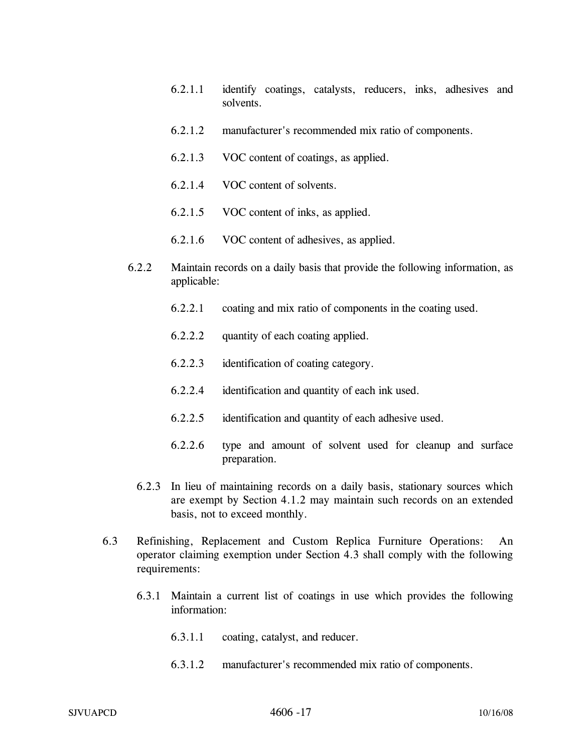- 6.2.1.1 identify coatings, catalysts, reducers, inks, adhesives and solvents.
- 6.2.1.2 manufacturer's recommended mix ratio of components.
- 6.2.1.3 VOC content of coatings, as applied.
- 6.2.1.4 VOC content of solvents.
- 6.2.1.5 VOC content of inks, as applied.
- 6.2.1.6 VOC content of adhesives, as applied.
- 6.2.2 Maintain records on a daily basis that provide the following information, as applicable:
	- 6.2.2.1 coating and mix ratio of components in the coating used.
	- 6.2.2.2 quantity of each coating applied.
	- 6.2.2.3 identification of coating category.
	- 6.2.2.4 identification and quantity of each ink used.
	- 6.2.2.5 identification and quantity of each adhesive used.
	- 6.2.2.6 type and amount of solvent used for cleanup and surface preparation.
	- 6.2.3 In lieu of maintaining records on a daily basis, stationary sources which are exempt by Section 4.1.2 may maintain such records on an extended basis, not to exceed monthly.
- 6.3 Refinishing, Replacement and Custom Replica Furniture Operations: An operator claiming exemption under Section 4.3 shall comply with the following requirements:
	- 6.3.1 Maintain a current list of coatings in use which provides the following information:
		- 6.3.1.1 coating, catalyst, and reducer.
		- 6.3.1.2 manufacturer's recommended mix ratio of components.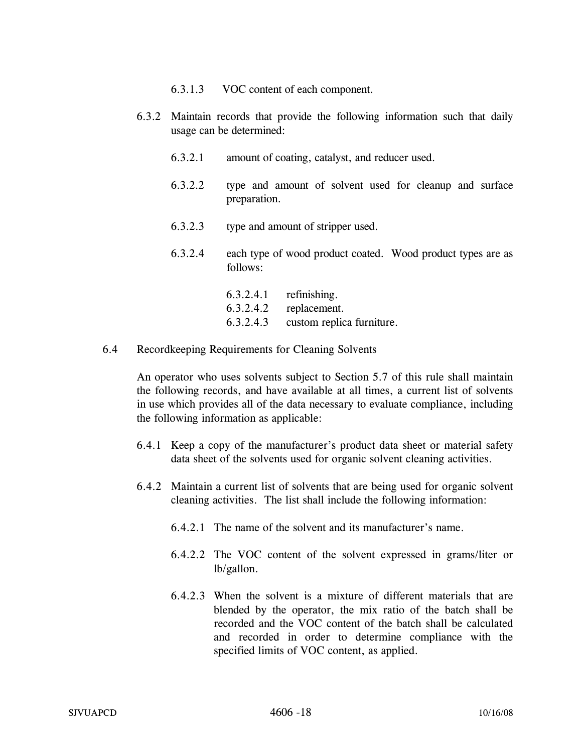- 6.3.1.3 VOC content of each component.
- 6.3.2 Maintain records that provide the following information such that daily usage can be determined:
	- 6.3.2.1 amount of coating, catalyst, and reducer used.
	- 6.3.2.2 type and amount of solvent used for cleanup and surface preparation.
	- 6.3.2.3 type and amount of stripper used.
	- 6.3.2.4 each type of wood product coated. Wood product types are as follows:
		- 6.3.2.4.1 refinishing. 6.3.2.4.2 replacement. 6.3.2.4.3 custom replica furniture.
- 6.4 Recordkeeping Requirements for Cleaning Solvents

An operator who uses solvents subject to Section 5.7 of this rule shall maintain the following records, and have available at all times, a current list of solvents in use which provides all of the data necessary to evaluate compliance, including the following information as applicable:

- 6.4.1 Keep a copy of the manufacturer's product data sheet or material safety data sheet of the solvents used for organic solvent cleaning activities.
- 6.4.2 Maintain a current list of solvents that are being used for organic solvent cleaning activities. The list shall include the following information:
	- 6.4.2.1 The name of the solvent and its manufacturer's name.
	- 6.4.2.2 The VOC content of the solvent expressed in grams/liter or lb/gallon.
	- 6.4.2.3 When the solvent is a mixture of different materials that are blended by the operator, the mix ratio of the batch shall be recorded and the VOC content of the batch shall be calculated and recorded in order to determine compliance with the specified limits of VOC content, as applied.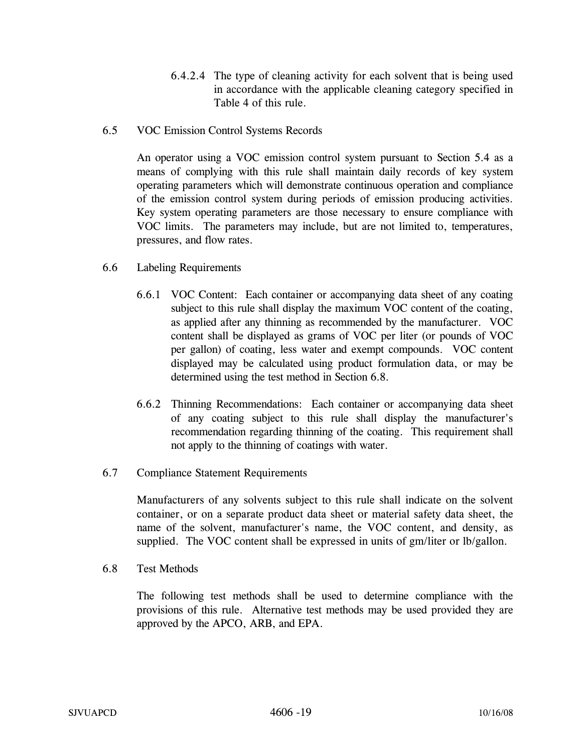- 6.4.2.4 The type of cleaning activity for each solvent that is being used in accordance with the applicable cleaning category specified in Table 4 of this rule.
- 6.5 VOC Emission Control Systems Records

An operator using a VOC emission control system pursuant to Section 5.4 as a means of complying with this rule shall maintain daily records of key system operating parameters which will demonstrate continuous operation and compliance of the emission control system during periods of emission producing activities. Key system operating parameters are those necessary to ensure compliance with VOC limits. The parameters may include, but are not limited to, temperatures, pressures, and flow rates.

- 6.6 Labeling Requirements
	- 6.6.1 VOC Content: Each container or accompanying data sheet of any coating subject to this rule shall display the maximum VOC content of the coating, as applied after any thinning as recommended by the manufacturer. VOC content shall be displayed as grams of VOC per liter (or pounds of VOC per gallon) of coating, less water and exempt compounds. VOC content displayed may be calculated using product formulation data, or may be determined using the test method in Section 6.8.
	- 6.6.2 Thinning Recommendations: Each container or accompanying data sheet of any coating subject to this rule shall display the manufacturer's recommendation regarding thinning of the coating. This requirement shall not apply to the thinning of coatings with water.
- 6.7 Compliance Statement Requirements

Manufacturers of any solvents subject to this rule shall indicate on the solvent container, or on a separate product data sheet or material safety data sheet, the name of the solvent, manufacturer's name, the VOC content, and density, as supplied. The VOC content shall be expressed in units of gm/liter or lb/gallon.

6.8 Test Methods

The following test methods shall be used to determine compliance with the provisions of this rule. Alternative test methods may be used provided they are approved by the APCO, ARB, and EPA.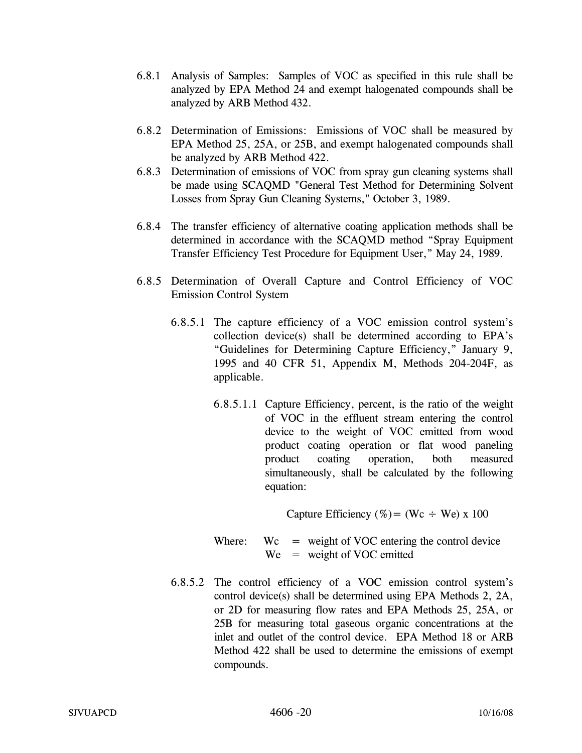- 6.8.1 Analysis of Samples: Samples of VOC as specified in this rule shall be analyzed by EPA Method 24 and exempt halogenated compounds shall be analyzed by ARB Method 432.
- 6.8.2 Determination of Emissions: Emissions of VOC shall be measured by EPA Method 25, 25A, or 25B, and exempt halogenated compounds shall be analyzed by ARB Method 422.
- 6.8.3 Determination of emissions of VOC from spray gun cleaning systems shall be made using SCAQMD "General Test Method for Determining Solvent Losses from Spray Gun Cleaning Systems," October 3, 1989.
- 6.8.4 The transfer efficiency of alternative coating application methods shall be determined in accordance with the SCAQMD method "Spray Equipment Transfer Efficiency Test Procedure for Equipment User," May 24, 1989.
- 6.8.5 Determination of Overall Capture and Control Efficiency of VOC Emission Control System
	- 6.8.5.1 The capture efficiency of a VOC emission control system's collection device(s) shall be determined according to EPA's "Guidelines for Determining Capture Efficiency," January 9, 1995 and 40 CFR 51, Appendix M, Methods 204-204F, as applicable.
		- 6.8.5.1.1 Capture Efficiency, percent, is the ratio of the weight of VOC in the effluent stream entering the control device to the weight of VOC emitted from wood product coating operation or flat wood paneling product coating operation, both measured simultaneously, shall be calculated by the following equation:

Capture Efficiency (%) = (Wc  $\div$  We) x 100

- Where:  $\text{Wc} = \text{weight of VOC entering the control device}$  $We = weight of VOC emitted$
- 6.8.5.2 The control efficiency of a VOC emission control system's control device(s) shall be determined using EPA Methods 2, 2A, or 2D for measuring flow rates and EPA Methods 25, 25A, or 25B for measuring total gaseous organic concentrations at the inlet and outlet of the control device. EPA Method 18 or ARB Method 422 shall be used to determine the emissions of exempt compounds.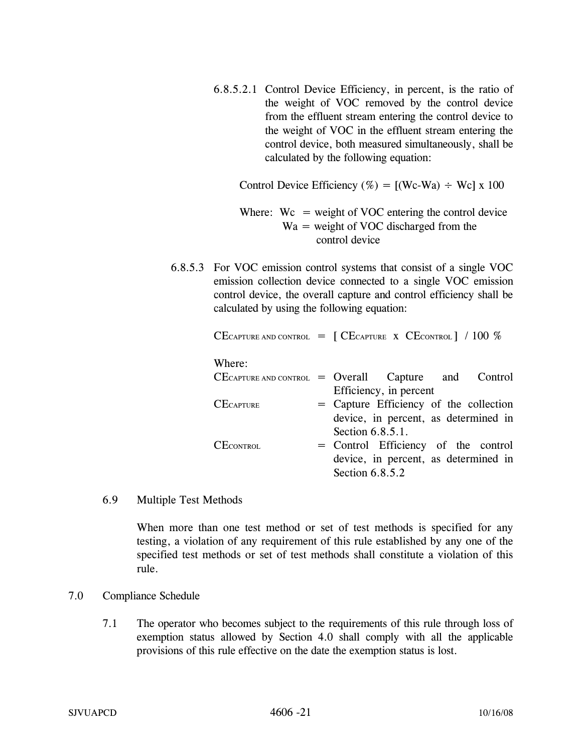6.8.5.2.1 Control Device Efficiency, in percent, is the ratio of the weight of VOC removed by the control device from the effluent stream entering the control device to the weight of VOC in the effluent stream entering the control device, both measured simultaneously, shall be calculated by the following equation:

Control Device Efficiency (%) =  $[(We-Wa) \div We] x 100$ 

Where:  $Wc = weight of VOC$  entering the control device Wa = weight of VOC discharged from the control device

6.8.5.3 For VOC emission control systems that consist of a single VOC emission collection device connected to a single VOC emission control device, the overall capture and control efficiency shall be calculated by using the following equation:

|                  | CECAPTURE AND CONTROL $=$ [CECAPTURE X CECONTROL] / 100 % |
|------------------|-----------------------------------------------------------|
| Where:           |                                                           |
|                  | $CE$ CAPTURE AND CONTROL = Overall Capture and Control    |
|                  | Efficiency, in percent                                    |
| <b>CECAPTURE</b> | = Capture Efficiency of the collection                    |
|                  | device, in percent, as determined in                      |
|                  | Section 6.8.5.1.                                          |
| <b>CECONTROL</b> | = Control Efficiency of the control                       |
|                  | device, in percent, as determined in                      |
|                  | Section 6.8.5.2                                           |

6.9 Multiple Test Methods

When more than one test method or set of test methods is specified for any testing, a violation of any requirement of this rule established by any one of the specified test methods or set of test methods shall constitute a violation of this rule.

### 7.0 Compliance Schedule

7.1 The operator who becomes subject to the requirements of this rule through loss of exemption status allowed by Section 4.0 shall comply with all the applicable provisions of this rule effective on the date the exemption status is lost.